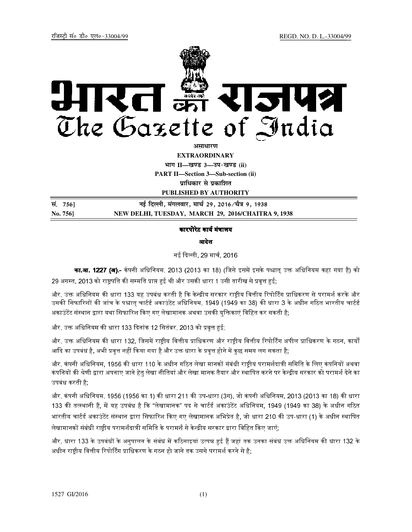

<u>असाधारण</u>

**EXTRAORDINARY**

**Hkkx II—[k.M 3—mi&[k.M (ii) PART II—Section 3—Sub-section (ii)**  *u*धिकार से प्रकाशित

**PUBLISHED BY AUTHORITY**

<u>la</u> 7561 **and 25 and 25 and 25 and 25 and 29, 2016/चेत्र 9, 1938 No. 756] NEW DELHI, TUESDAY, MARCH 29, 2016/CHAITRA 9, 1938**

## कारपोरेट कार्य मंत्रालय

# आदेश

नई दली, 29 माच
, 2016

**का.आ. 1227 (अ).-** कंपनी अधिनियम, 2013 (2013 का 18) (जिसे इसमें इसके पश्चात् उक्त अधिनियम कहा गया है) को 29 अगस्त, 2013 को राष्ट्रपति की सम्मति प्राप्त हुई थी और उसकी धारा 1 उसी तारीख से प्रवृत्त हुई;

और, उक्त अधिनियम की धारा 133 यह उपबंध करती है कि केन्द्रीय सरकार राष्टीय वित्तीय रिपोर्टिंग प्राधिकरण से परामर्श करके और उसकी सिफारिशों की जांच के पश्चात् चार्टर्ड अकाउंटेंट अधिनियम, 1949 (1949 का 38) की धारा 3 के अधीन गठित भारतीय चार्टर्ड अकाउंटेंट संस्थान द्वारा यथा सिफारिश किए गए लेखामानक अथवा उसकी यक्तिकाएं विहित कर सकती है;

और, उक्त अधिनियम की धारा 133 दिनांक 12 सितंबर, 2013 को प्रवृत्त हुई;

और, उक्त अधिनियम की धारा 132, जिसमें राष्टीय वित्तीय प्राधिकरण और राष्टीय वित्तीय रिपोर्टिंग अपील प्राधिकरण के गठन, कार्यों आदि का उपबंध है, अभी प्रवृत्त नहीं किया गया है और उक्त धारा के प्रवृत्त होने में कुछ समय लग सकता है;

और, कंपनी अधिनियम, 1956 की धारा 110 के अधीन गठित लेखा मानकों संबंधी राष्टीय परामर्शदात्री समिति के लिए कंपनियों अथवा कंपनियों की श्रेणी द्वारा अपनाए जाने हेतु लेखा नीतियां और लेखा मानक तैयार और स्थापित करने पर केन्द्रीय सरकार को परामर्श देने का उपबंध करती है;

और, कंपनी अधिनियम, 1956 (1956 का 1) की धारा 211 की उप-धारा (3ग), जो कंपनी अधिनियम, 2013 (2013 का 18) की धारा 133 की तत्स्थानी है, में यह उपबंध है कि "लेखामानक" पद से चार्टर्ड अकाउंटेंट अधिनियम, 1949 (1949 का 38) के अधीन गठित भारतीय चार्टर्ड अकाउंटेंट संस्थान द्वारा सिफारिश किए गए लेखामानक अभिप्रेत है, जो धारा 210 की उप-धारा (1) के अधीन स्थापित लेखामानकों संबंधी राष्टीय परामर्शदात्री समिति के परामर्श से केन्द्रीय सरकार द्वारा विहित किए जाएं;

और, धारा 133 के उपबंधों के अनुपालन के संबंध में कठिनाइयां उत्पन्न हुई हैं जहां तक उनका संबंध उक्त अधिनियम की धारा 132 के अधीन राष्ट्रीय वित्तीय रिपोर्टिंग प्राधिकरण के गठन हो जाने तक उससे परामर्श करने से है;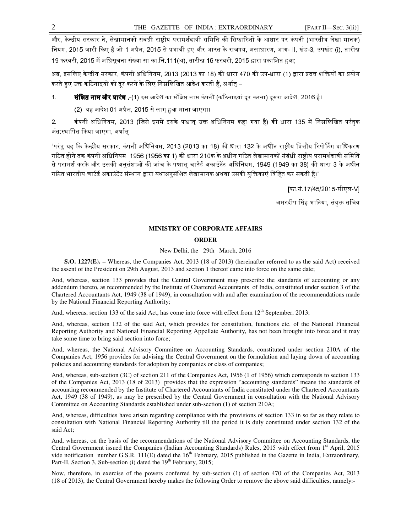और, के:;ीय सरकार ने, लेखामानकB संबंधी रा-ीय परामश
दाPी सिमित क. िसफा<रशB के आधार पर कं पनी (भारतीय लेखा मानक) नियम, 2015 जारी किए हैं जो 1 अप्रैल, 2015 से प्रभावी हुए और भारत के राजपत्र, असाधारण, भाग- II, खंड-3, उपखंड (i), तारीख 19 फरवरी, 2015 में अधिसूचना संख्या सा.का.नि.111(अ), तारीख 16 फरवरी, 2015 द्वारा प्रकाशित हुआ;

अब, इसलिए केन्द्रीय सरकार, कंपनी अधिनियम, 2013 (2013 का 18) की धारा 470 की उप-धारा (1) द्वारा प्रदत्त शक्तियों का प्रयोग करते हए उक्त कठिनाइयों को दूर करने के लिए निम्नलिखित आदेश करती हैं, अर्थात् –

1. **संसिप्त नाम और प्रारंभ .-**(1) इस आदेश का संक्षिप्त नाम कंपनी (कठिनाइयां दर करना) दसरा आदेश, 2016 है।

(2) यह आदेश 01 अप्रैल, 2015 से लागू हुआ माना जाएगा।

2. कंपनी अधिनियम, 2013 (जिसे इसमें इसके पश्चात् उक्त अधिनियम कहा गया है) की धारा 135 में निम्नलिखित परंतुक अंत:स्थापित किया जाएगा, अर्थात –

"परंतु यह कि केन्द्रीय सरकार, कंपनी अधिनियम, 2013 (2013 का 18) की धारा 132 के अधीन राष्ट्रीय वित्तीय रिपोर्टिंग प्राधिकरण गठित होने तक कंपनी अधिनियम, 1956 (1956 का 1) की धारा 210क के अधीन गठित लेखामानकों संबंधी राष्ट्रीय परामर्शदात्री समिति से परामर्श करके और उसकी अनुसंशाओं की जांच के पश्चात् चार्टर्ड अकाउंटेंट अधिनियम, 1949 (1949 का 38) की धारा 3 के अधीन गठित भारतीय चार्टर्ड अकाउंटेंट संस्थान द्वारा यथाअनुसंशित लेखामानक अथवा उसकी युक्तिकाएं विहित कर सकती है।"

[फा.सं.17/45/2015-सीएल-V]

अमरदीप सिंह भाटिया, संयक्त सचिव

# **MINISTRY OF CORPORATE AFFAIRS**

## **ORDER**

#### New Delhi, the 29th March, 2016

 **S.O. 1227(E). –** Whereas, the Companies Act, 2013 (18 of 2013) (hereinafter referred to as the said Act) received the assent of the President on 29th August, 2013 and section 1 thereof came into force on the same date;

And, whereas, section 133 provides that the Central Government may prescribe the standards of accounting or any addendum thereto, as recommended by the Institute of Chartered Accountants of India, constituted under section 3 of the Chartered Accountants Act, 1949 (38 of 1949), in consultation with and after examination of the recommendations made by the National Financial Reporting Authority;

And, whereas, section 133 of the said Act, has come into force with effect from  $12<sup>th</sup>$  September, 2013;

And, whereas, section 132 of the said Act, which provides for constitution, functions etc. of the National Financial Reporting Authority and National Financial Reporting Appellate Authority, has not been brought into force and it may take some time to bring said section into force;

And, whereas, the National Advisory Committee on Accounting Standards, constituted under section 210A of the Companies Act, 1956 provides for advising the Central Government on the formulation and laying down of accounting policies and accounting standards for adoption by companies or class of companies;

And, whereas, sub-section (3C) of section 211 of the Companies Act, 1956 (1 of 1956) which corresponds to section 133 of the Companies Act, 2013 (18 of 2013) provides that the expression "accounting standards" means the standards of accounting recommended by the Institute of Chartered Accountants of India constituted under the Chartered Accountants Act, 1949 (38 of 1949), as may be prescribed by the Central Government in consultation with the National Advisory Committee on Accounting Standards established under sub-section (1) of section 210A;

And, whereas, difficulties have arisen regarding compliance with the provisions of section 133 in so far as they relate to consultation with National Financial Reporting Authority till the period it is duly constituted under section 132 of the said Act;

And, whereas, on the basis of the recommendations of the National Advisory Committee on Accounting Standards, the Central Government issued the Companies (Indian Accounting Standards) Rules, 2015 with effect from 1<sup>st</sup> April, 2015 vide notification number G.S.R.  $111(E)$  dated the  $16<sup>th</sup>$  February, 2015 published in the Gazette in India, Extraordinary, Part-II, Section 3, Sub-section (i) dated the  $19<sup>th</sup>$  February, 2015;

Now, therefore, in exercise of the powers conferred by sub-section (1) of section 470 of the Companies Act, 2013 (18 of 2013), the Central Government hereby makes the following Order to remove the above said difficulties, namely:-